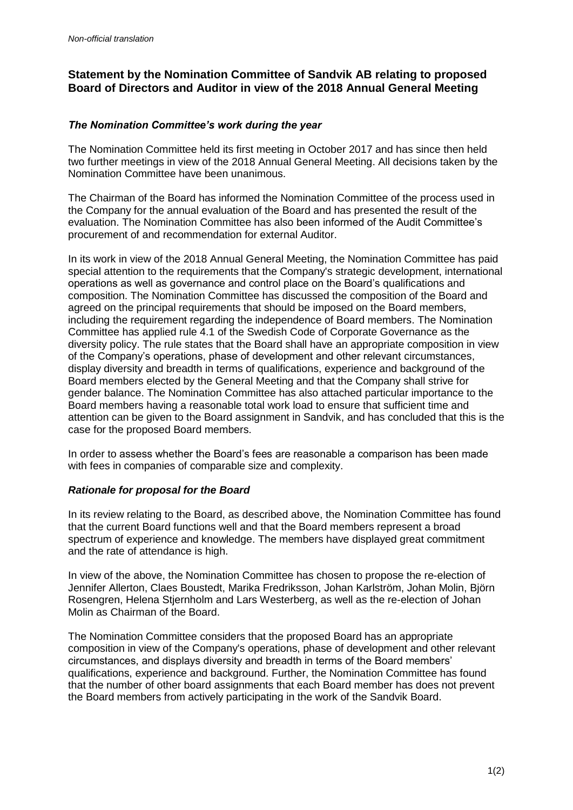## **Statement by the Nomination Committee of Sandvik AB relating to proposed Board of Directors and Auditor in view of the 2018 Annual General Meeting**

## *The Nomination Committee's work during the year*

The Nomination Committee held its first meeting in October 2017 and has since then held two further meetings in view of the 2018 Annual General Meeting. All decisions taken by the Nomination Committee have been unanimous.

The Chairman of the Board has informed the Nomination Committee of the process used in the Company for the annual evaluation of the Board and has presented the result of the evaluation. The Nomination Committee has also been informed of the Audit Committee's procurement of and recommendation for external Auditor.

In its work in view of the 2018 Annual General Meeting, the Nomination Committee has paid special attention to the requirements that the Company's strategic development, international operations as well as governance and control place on the Board's qualifications and composition. The Nomination Committee has discussed the composition of the Board and agreed on the principal requirements that should be imposed on the Board members, including the requirement regarding the independence of Board members. The Nomination Committee has applied rule 4.1 of the Swedish Code of Corporate Governance as the diversity policy. The rule states that the Board shall have an appropriate composition in view of the Company's operations, phase of development and other relevant circumstances, display diversity and breadth in terms of qualifications, experience and background of the Board members elected by the General Meeting and that the Company shall strive for gender balance. The Nomination Committee has also attached particular importance to the Board members having a reasonable total work load to ensure that sufficient time and attention can be given to the Board assignment in Sandvik, and has concluded that this is the case for the proposed Board members.

In order to assess whether the Board's fees are reasonable a comparison has been made with fees in companies of comparable size and complexity.

## *Rationale for proposal for the Board*

In its review relating to the Board, as described above, the Nomination Committee has found that the current Board functions well and that the Board members represent a broad spectrum of experience and knowledge. The members have displayed great commitment and the rate of attendance is high.

In view of the above, the Nomination Committee has chosen to propose the re-election of Jennifer Allerton, Claes Boustedt, Marika Fredriksson, Johan Karlström, Johan Molin, Björn Rosengren, Helena Stjernholm and Lars Westerberg, as well as the re-election of Johan Molin as Chairman of the Board.

The Nomination Committee considers that the proposed Board has an appropriate composition in view of the Company's operations, phase of development and other relevant circumstances, and displays diversity and breadth in terms of the Board members' qualifications, experience and background. Further, the Nomination Committee has found that the number of other board assignments that each Board member has does not prevent the Board members from actively participating in the work of the Sandvik Board.